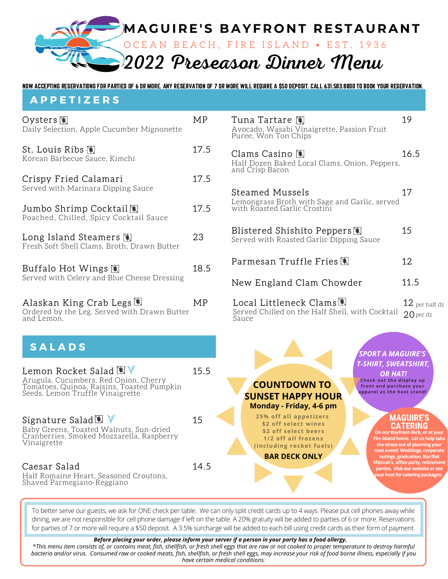

NOW ACCEPTING RESERVATIONS FOR PARTIES OF 6 OR MORE. ANY RESERVATION OF 7 OR MORE WILL REQUIRE A \$50 DEPOSIT. CALL 631.583.8800 TO BOOK YOUR RESERVATION.

## **A P P E T I Z E R S**

| Oysters N<br>Daily Selection, Apple Cucumber Mignonette                                                                                                                 | MP   | Tuna Tar<br>Avocado, W<br>Puree, Won            |
|-------------------------------------------------------------------------------------------------------------------------------------------------------------------------|------|-------------------------------------------------|
| St. Louis Ribs 阐<br>Korean Barbecue Sauce, Kimchi                                                                                                                       | 17.5 | Clams Ca<br>Half Dozen<br>and Crisp B           |
| Crispy Fried Calamari<br>Served with Marinara Dipping Sauce                                                                                                             | 17.5 | Steamed                                         |
| Jumbo Shrimp Cocktail图<br>Poached, Chilled, Spicy Cocktail Sauce                                                                                                        | 17.5 | Lemongrass<br>with Roaste                       |
| Long Island Steamers $\mathbb R$<br>Fresh Soft Shell Clams, Broth, Drawn Butter                                                                                         | 23   | Blistered<br>Served with                        |
| Buffalo Hot Wings 阐<br>Served with Celery and Blue Cheese Dressing                                                                                                      | 18.5 | Parmesar                                        |
| Alaskan King Crab Legs 團<br>Ordered by the Leg. Served with Drawn Butter<br>and Lemon.                                                                                  | MP   | New Eng<br>Local Lit<br>Served Chil<br>Sauce    |
| <b>SALADS</b>                                                                                                                                                           |      |                                                 |
| Lemon Rocket Salad $\mathbb{R}$ $\mathbb{V}$<br>Arugula, Cucumbers, Red Onion, Cherry<br>Tomatoes, Quinoa, Raisins, Toasted Pumpkin<br>Seeds, Lemon Truffle Vinaigrette | 15.5 | <b>COU</b><br><b>SUNSE</b><br>Monda             |
| Signature Salad (1)<br>Baby Greens, Toasted Walnuts, Sun-dried<br>Cranberries, Smoked Mozzarella, Raspberry<br>Vinaigrette                                              | 15   | 25%<br>\$2 <sub>0</sub><br>\$2<br>1/2<br>(inclu |
| Caesar Salad<br>Half Romaine Heart, Seasoned Croutons,<br>Shaved Parmegiano-Reggiano                                                                                    | 14.5 | BΑ                                              |

tare  $\mathbb{R}$  19 Vasabi Vinaigrette, Passion Fruit Ton Chips

 $\sin \theta$  16.5 Baked Local Clams, Onion, Peppers, acon

| Steamed Mussels<br>Lemongrass Broth with Sage and Garlic, served<br>with Roasted Garlic Crostini |            |
|--------------------------------------------------------------------------------------------------|------------|
| Blistered Shishito Peppers阐<br>Served with Roasted Garlic Dipping Sauce                          | 15         |
|                                                                                                  | 12         |
| New England Clam Chowder                                                                         | 11.5       |
| Local Littleneck Clams圈                                                                          | $12_{per}$ |

20 per dz lled on the Half Shell, with Cocktail  $\mathsf{Z}$  per half dz



**25% off all appet izers \$2 off select wines \$2 off select beers 1/2 off all f rozens (including rocket fuels)**

**BAR DECK ONLY**

*SPORT A MAGUIRE'S T-SHIRT, SWEATSHIRT, OR HAT!* **Check out the display up f ront and purchase your apparel at the host stand!**

### **MAGUIRE' CATERING**

**our on a deck,** or **a And home.** Let us he **the stress out of planning your next event! Weddings, corporate outings, graduation,Bar/Bat Mitzvah's, office party, retirement parties. Visit our website or see** *ur* **host for catering packages.** 

To better serve our guests, we ask for ONE check per table. We can only split credit cards up to 4 ways. Please put cell phones away while dining, we are not responsible for cell phone damage if left on the table. A 20% gratuity will be added to parties of 6 or more. Reservations for parties of 7 or more will require a \$50 deposit. A 3.5% surcharge will be added to each bill using credit cards as their form of payment.

#### *Before placing your order, please inform your server if a person in your party has a food allergy.*

*\*This menu item consists of, or contains meat, fish, shellfish, or fresh shell eggs that are raw or not cooked to proper temperature to destroy harmful bacteria and/or virus. Consumed raw or cooked meats, fish, shellfish, or fresh shell eggs, may increase your risk of food borne illness, especially if you have certain medical conditions.*